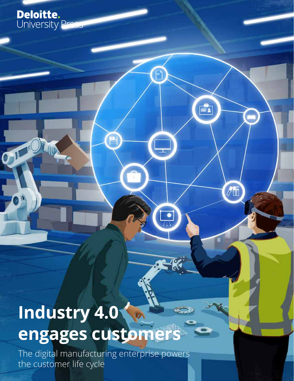## **Industry 4.0**   $\mathcal{D}$ engages customer

e

P

 $\mathbf{F}$ 

 $\sqrt{2}$ 

**Deloitte.**<br>University Pre

 $O^{1/2}$ 

 $\bullet$ 

The digital manufacturing enterprise powers the customer life cycle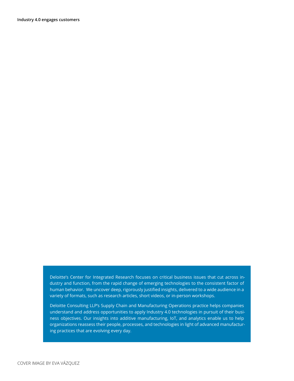Deloitte's Center for Integrated Research focuses on critical business issues that cut across industry and function, from the rapid change of emerging technologies to the consistent factor of human behavior. We uncover deep, rigorously justified insights, delivered to a wide audience in a variety of formats, such as research articles, short videos, or in-person workshops.

Deloitte Consulting LLP's Supply Chain and Manufacturing Operations practice helps companies understand and address opportunities to apply Industry 4.0 technologies in pursuit of their business objectives. Our insights into additive manufacturing, IoT, and analytics enable us to help organizations reassess their people, processes, and technologies in light of advanced manufacturing practices that are evolving every day.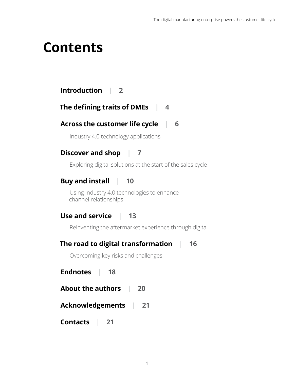## **Contents**

## **[Introduction](#page-3-0) | 2**

### **[The defining traits of DMEs |](#page-5-0) 4**

## **[Across the customer life cycle |](#page-7-0) 6**

Industry 4.0 technology applications

## **[Discover and shop |](#page-8-0) 7**

[Exploring digital solutions at the start of the sales cycle](#page-8-0)

## **[Buy and install](#page-11-0) | 10**

[Using Industry 4.0 technologies to enhance](#page-11-0) [channel relationships](#page-11-0)

## **[Use and service |](#page-14-0) 13**

[Reinventing the aftermarket experience through digital](#page-14-0) 

### **[The road to digital transformation |](#page-17-0) 16**

[Overcoming key risks and challenges](#page-17-0) 

**Endnote[s |](#page-17-0) 18**

| <b>About the authors</b> |  | 20 |
|--------------------------|--|----|
|--------------------------|--|----|

### **Acknowledgements [|](#page-17-0) 21**

**Contacts [|](#page-17-0) 21**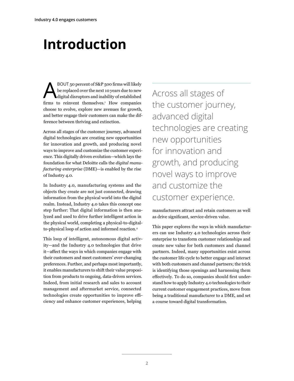# <span id="page-3-0"></span>**Introduction**

ABOUT 50 percent of S&P 500 firms will likely be replaced over the next 10 years due to new digital disruptors and inability of established firms to reinvent themselves.<sup>1</sup> How companies choose to evolve, explore new avenues for growth, and better engage their customers can make the difference between thriving and extinction.

Across all stages of the customer journey, advanced digital technologies are creating new opportunities for innovation and growth, and producing novel ways to improve and customize the customer experience. This digitally driven evolution—which lays the foundation for what Deloitte calls the *digital manufacturing enterprise* (DME)—is enabled by the rise of Industry 4.0.

In Industry 4.0, manufacturing systems and the objects they create are not just connected, drawing information from the physical world into the digital realm. Instead, Industry 4.0 takes this concept one step further: That digital information is then analyzed and used to drive further intelligent action in the physical world, completing a physical-to-digitalto-physical loop of action and informed reaction.<sup>2</sup>

This loop of intelligent, autonomous digital activity—and the Industry 4.0 technologies that drive it—affect the ways in which companies engage with their customers and meet customers' ever-changing preferences. Further, and perhaps most importantly, it enables manufacturers to shift their value proposition from products to ongoing, data-driven services. Indeed, from initial research and sales to account management and aftermarket service, connected technologies create opportunities to improve efficiency and enhance customer experiences, helping

Across all stages of the customer journey, advanced digital technologies are creating new opportunities for innovation and growth, and producing novel ways to improve and customize the customer experience.

manufacturers attract and retain customers as well as drive significant, service-driven value.

This paper explores the ways in which manufacturers can use Industry 4.0 technologies across their enterprise to transform customer relationships and create new value for both customers and channel partners. Indeed, many opportunities exist across the customer life cycle to better engage and interact with both customers and channel partners; the trick is identifying those openings and harnessing them effectively. To do so, companies should first understand how to apply Industry 4.0 technologies to their current customer engagement practices, move from being a traditional manufacturer to a DME, and set a course toward digital transformation.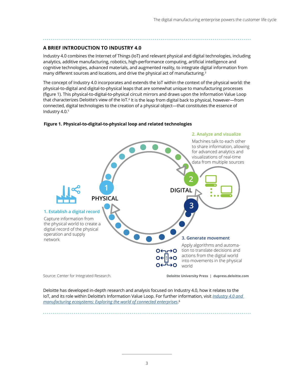#### **A BRIEF INTRODUCTION TO INDUSTRY 4.0**

Industry 4.0 combines the Internet of Things (IoT) and relevant physical and digital technologies, including analytics, additive manufacturing, robotics, high-performance computing, artificial intelligence and cognitive technologies, advanced materials, and augmented reality, to integrate digital information from many different sources and locations, and drive the physical act of manufacturing.<sup>3</sup>

The concept of Industry 4.0 incorporates and extends the IoT within the context of the physical world: the physical-to-digital and digital-to-physical leaps that are somewhat unique to manufacturing processes (figure 1). This physical-to-digital-to-physical circuit mirrors and draws upon the Information Value Loop that characterizes Deloitte's view of the IoT.<sup>4</sup> It is the leap from digital back to physical, however—from connected, digital technologies to the creation of a physical object—that constitutes the essence of Industry 4.0.5

#### **Figure 1. Physical-to-digital-to-physical loop and related technologies**



Deloitte has developed in-depth research and analysis focused on Industry 4.0, how it relates to the IoT, and its role within Deloitte's Information Value Loop. For further information, visit *[Industry 4.0 and](http://dupress.com/articles/industry-4-0-manufacturing-ecosystems-exploring-world-connected-enterprises/)  [manufacturing ecosystems: Exploring the world of connected enterprises](http://dupress.com/articles/industry-4-0-manufacturing-ecosystems-exploring-world-connected-enterprises/)*. 6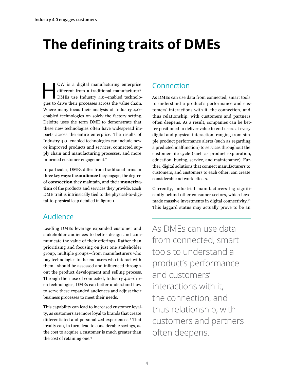# <span id="page-5-0"></span>**The defining traits of DMEs**

OW is a digital manufacturing enterprise<br>
different from a traditional manufacturer?<br>
DMEs use Industry 4.0–enabled technolo-<br>
size to drive their presences agrees the value shain different from a traditional manufacturer? gies to drive their processes across the value chain. Where many focus their analysis of Industry 4.0– enabled technologies on solely the factory setting, Deloitte uses the term DME to demonstrate that these new technologies often have widespread impacts across the entire enterprise. The results of Industry 4.0–enabled technologies can include new or improved products and services, connected supply chain and manufacturing processes, and more informed customer engagement.<sup>7</sup>

In particular, DMEs differ from traditional firms in three key ways: the **audience** they engage, the degree of **connection** they maintain, and their **monetization** of the products and services they provide. Each DME trait is intrinsically tied to the physical-to-digital-to-physical leap detailed in figure 1.

## Audience

Leading DMEs leverage expanded customer and stakeholder audiences to better design and communicate the value of their offerings. Rather than prioritizing and focusing on just one stakeholder group, multiple groups—from manufacturers who buy technologies to the end users who interact with them—should be assessed and influenced throughout the product development and selling process. Through their use of connected, Industry 4.0–driven technologies, DMEs can better understand how to serve these expanded audiences and adjust their business processes to meet their needs.

This capability can lead to increased customer loyalty, as customers are more loyal to brands that create differentiated and personalized experiences.<sup>8</sup> That loyalty can, in turn, lead to considerable savings, as the cost to acquire a customer is much greater than the cost of retaining one.<sup>9</sup>

## Connection

As DMEs can use data from connected, smart tools to understand a product's performance and customers' interactions with it, the connection, and thus relationship, with customers and partners often deepens. As a result, companies can be better positioned to deliver value to end users at every digital and physical interaction, ranging from simple product performance alerts (such as regarding a predicted malfunction) to services throughout the customer life cycle (such as product exploration, education, buying, service, and maintenance). Further, digital solutions that connect manufacturers to customers, and customers to each other, can create considerable network effects.

Currently, industrial manufacturers lag significantly behind other consumer sectors, which have made massive investments in digital connectivity.10 This laggard status may actually prove to be an

As DMEs can use data from connected, smart tools to understand a product's performance and customers' interactions with it, the connection, and thus relationship, with customers and partners often deepens.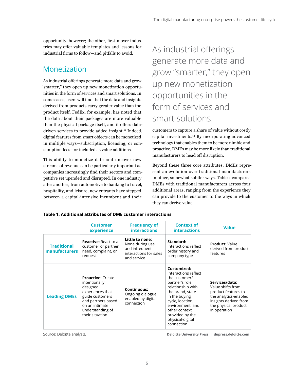opportunity, however; the other, first-mover industries may offer valuable templates and lessons for industrial firms to follow—and pitfalls to avoid.

## Monetization

As industrial offerings generate more data and grow "smarter," they open up new monetization opportunities in the form of services and smart solutions. In some cases, users will find that the data and insights derived from products carry greater value than the product itself. FedEx, for example, has noted that the data about their packages are more valuable than the physical package itself, and it offers datadriven services to provide added insight.<sup>11</sup> Indeed, digital features from smart objects can be monetized in multiple ways—subscription, licensing, or consumption fees—or included as value additions.

This ability to monetize data and uncover new streams of revenue can be particularly important as companies increasingly find their sectors and competitive set upended and disrupted. In one industry after another, from automotive to banking to travel, hospitality, and leisure, new entrants have stepped between a capital-intensive incumbent and their

As industrial offerings generate more data and grow "smarter," they open up new monetization opportunities in the form of services and smart solutions.

customers to capture a share of value without costly capital investments.12 By incorporating advanced technology that enables them to be more nimble and proactive, DMEs may be more likely than traditional manufacturers to head off disruption.

Beyond these three core attributes, DMEs represent an evolution over traditional manufacturers in other, somewhat subtler ways. Table 1 compares DMEs with traditional manufacturers across four additional areas, ranging from the experience they can provide to the customer to the ways in which they can derive value.

|                                            | <b>Customer</b><br>experience                                                                                                                                               | <b>Frequency of</b><br><b>interactions</b>                                                     | <b>Context of</b><br><b>interactions</b>                                                                                                                                                                                                        | <b>Value</b>                                                                                                                                         |
|--------------------------------------------|-----------------------------------------------------------------------------------------------------------------------------------------------------------------------------|------------------------------------------------------------------------------------------------|-------------------------------------------------------------------------------------------------------------------------------------------------------------------------------------------------------------------------------------------------|------------------------------------------------------------------------------------------------------------------------------------------------------|
| <b>Traditional</b><br><b>manufacturers</b> | <b>Reactive: React to a</b><br>customer or partner<br>need, complaint, or<br>request                                                                                        | Little to none:<br>None during use,<br>and infrequent<br>interactions for sales<br>and service | Standard:<br>Interactions reflect<br>order history and<br>company type                                                                                                                                                                          | <b>Product: Value</b><br>derived from product<br>features                                                                                            |
| <b>Leading DMEs</b>                        | <b>Proactive: Create</b><br>intentionally<br>designed<br>experiences that<br>guide customers<br>and partners based<br>on an intimate<br>understanding of<br>their situation | <b>Continuous:</b><br>Ongoing dialogue<br>enabled by digital<br>connection                     | Customized:<br>Interactions reflect<br>the customer/<br>partner's role,<br>relationship with<br>the brand, state<br>in the buying<br>cycle, location,<br>environment, and<br>other context<br>provided by the<br>physical-digital<br>connection | Services/data:<br>Value shifts from<br>product features to<br>the analytics-enabled<br>insights derived from<br>the physical product<br>in operation |

#### **Table 1. Additional attributes of DME customer interactions**

Source: Deloitte analysis. **Deloitte University Press | dupress.deloitte.com**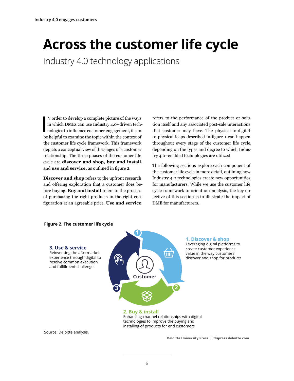## <span id="page-7-0"></span>**Across the customer life cycle**

Industry 4.0 technology applications

N order to develop a complete picture of the ways<br>in which DMEs can use Industry 4.0–driven tech-<br>nologies to influence customer engagement, it can<br>be helpful to symming the tenis within the sentant of N order to develop a complete picture of the ways in which DMEs can use Industry 4.0–driven techbe helpful to examine the topic within the context of the customer life cycle framework. This framework depicts a conceptual view of the stages of a customer relationship. The three phases of the customer life cycle are **discover and shop, buy and install,** and **use and service,** as outlined in figure 2.

**Discover and shop** refers to the upfront research and offering exploration that a customer does before buying. **Buy and install** refers to the process of purchasing the right products in the right configuration at an agreeable price. **Use and service**

refers to the performance of the product or solution itself and any associated post-sale interactions that customer may have. The physical-to-digitalto-physical leaps described in figure 1 can happen throughout every stage of the customer life cycle, depending on the types and degree to which Industry 4.0–enabled technologies are utilized.

The following sections explore each component of the customer life cycle in more detail, outlining how Industry 4.0 technologies create new opportunities for manufacturers. While we use the customer life cycle framework to orient our analysis, the key objective of this section is to illustrate the impact of DME for manufacturers.



#### **Figure 2. The customer life cycle**

Enhancing channel relationships with digital technologies to improve the buying and installing of products for end customers

Source: Deloitte analysis.

**Deloitte University Press | dupress.deloitte.com**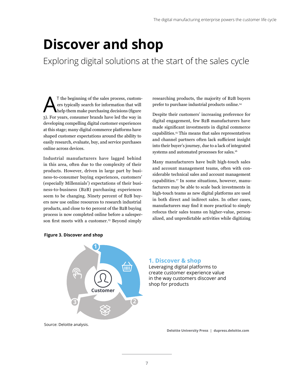## <span id="page-8-0"></span>**Discover and shop**

Exploring digital solutions at the start of the sales cycle

T the beginning of the sales process, custom-<br>
ers typically search for information that will<br>
help them make purchasing decisions (figure<br>
a) For years, consumer hands here led the very in ers typically search for information that will 3). For years, consumer brands have led the way in developing compelling digital customer experiences at this stage; many digital commerce platforms have shaped customer expectations around the ability to easily research, evaluate, buy, and service purchases online across devices.

Industrial manufacturers have lagged behind in this area, often due to the complexity of their products. However, driven in large part by business-to-consumer buying experiences, customers' (especially Millennials') expectations of their business-to-business (B2B) purchasing experiences seem to be changing. Ninety percent of B2B buyers now use online resources to research industrial products, and close to 60 percent of the B2B buying process is now completed online before a salesperson first meets with a customer.<sup>13</sup> Beyond simply

researching products, the majority of B2B buyers prefer to purchase industrial products online.14

Despite their customers' increasing preference for digital engagement, few B2B manufacturers have made significant investments in digital commerce capabilities.15 This means that sales representatives and channel partners often lack sufficient insight into their buyer's journey, due to a lack of integrated systems and automated processes for sales.16

Many manufacturers have built high-touch sales and account management teams, often with considerable technical sales and account management capabilities.17 In some situations, however, manufacturers may be able to scale back investments in high-touch teams as new digital platforms are used in both direct and indirect sales. In other cases, manufacturers may find it more practical to simply refocus their sales teams on higher-value, personalized, and unpredictable activities while digitizing



#### **Figure 3. Discover and shop**

#### **1. Discover & shop**

Leveraging digital platforms to create customer experience value in the way customers discover and shop for products

Source: Deloitte analysis.

**Deloitte University Press | dupress.deloitte.com**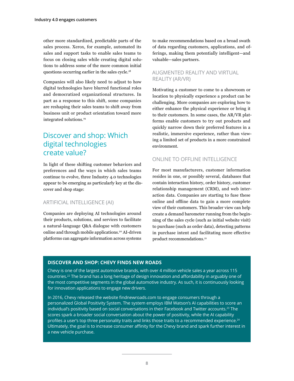other more standardized, predictable parts of the sales process. Xerox, for example, automated its sales and support tasks to enable sales teams to focus on closing sales while creating digital solutions to address some of the more common initial questions occurring earlier in the sales cycle.18

Companies will also likely need to adjust to how digital technologies have blurred functional roles and democratized organizational structures. In part as a response to this shift, some companies are reshaping their sales teams to shift away from business unit or product orientation toward more integrated solutions.<sup>19</sup>

## Discover and shop: Which digital technologies create value?

In light of these shifting customer behaviors and preferences and the ways in which sales teams continue to evolve, three Industry 4.0 technologies appear to be emerging as particularly key at the discover and shop stage:

#### ARTIFICIAL INTELLIGENCE (AI)

Companies are deploying AI technologies around their products, solutions, and services to facilitate a natural-language Q&A dialogue with customers online and through mobile applications.<sup>20</sup> AI-driven platforms can aggregate information across systems

to make recommendations based on a broad swath of data regarding customers, applications, and offerings, making them potentially intelligent—and valuable—sales partners.

#### AUGMENTED REALITY AND VIRTUAL REALITY (AR/VR)

Motivating a customer to come to a showroom or location to physically experience a product can be challenging. More companies are exploring how to either enhance the physical experience or bring it to their customers. In some cases, the AR/VR platforms enable customers to try out products and quickly narrow down their preferred features in a realistic, immersive experience, rather than viewing a limited set of products in a more constrained environment.

#### ONLINE TO OFFLINE INTELLIGENCE

For most manufacturers, customer information resides in one, or possibly several, databases that contain interaction history, order history, customer relationship management (CRM), and web interaction data. Companies are starting to fuse these online and offline data to gain a more complete view of their customers. This broader view can help create a demand barometer running from the beginning of the sales cycle (such as initial website visit) to purchase (such as order data), detecting patterns in purchase intent and facilitating more effective product recommendations.<sup>21</sup>

#### **DISCOVER AND SHOP: CHEVY FINDS NEW ROADS**

Chevy is one of the largest automotive brands, with over 4 million vehicle sales a year across 115 countries.22 The brand has a long heritage of design innovation and affordability in arguably one of the most competitive segments in the global automotive industry. As such, it is continuously looking for innovation applications to engage new drivers.

In 2016, Chevy released the website findnewroads.com to engage consumers through a personalized Global Positivity System. The system employs IBM Watson's AI capabilities to score an individual's positivity based on social conversations in their Facebook and Twitter accounts.23 The scores spark a broader social conversation about the power of positivity, while the AI capability profiles a user's top three personality traits and links those traits to a recommended experience.<sup>24</sup> Ultimately, the goal is to increase consumer affinity for the Chevy brand and spark further interest in a new vehicle purchase.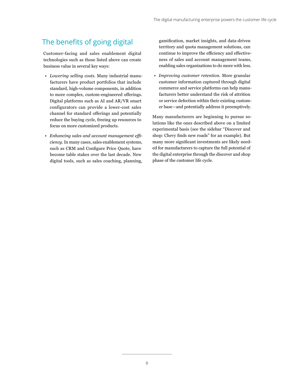## The benefits of going digital

Customer-facing and sales enablement digital technologies such as those listed above can create business value in several key ways:

- *Lowering selling costs.* Many industrial manufacturers have product portfolios that include standard, high-volume components, in addition to more complex, custom-engineered offerings. Digital platforms such as AI and AR/VR smart configurators can provide a lower-cost sales channel for standard offerings and potentially reduce the buying cycle, freeing up resources to focus on more customized products.
- *Enhancing sales and account management efficiency.* In many cases, sales enablement systems, such as CRM and Configure Price Quote, have become table stakes over the last decade. New digital tools, such as sales coaching, planning,

gamification, market insights, and data-driven territory and quota management solutions, can continue to improve the efficiency and effectiveness of sales and account management teams, enabling sales organizations to do more with less.

• *Improving customer retention.* More granular customer information captured through digital commerce and service platforms can help manufacturers better understand the risk of attrition or service defection within their existing customer base—and potentially address it preemptively.

Many manufacturers are beginning to pursue solutions like the ones described above on a limited experimental basis (see the sidebar "Discover and shop: Chevy finds new roads" for an example). But many more significant investments are likely needed for manufacturers to capture the full potential of the digital enterprise through the discover and shop phase of the customer life cycle.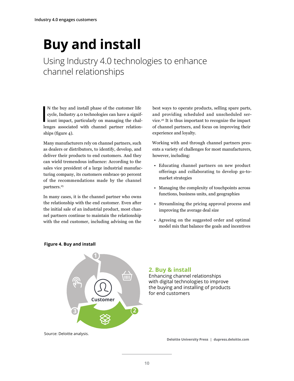# <span id="page-11-0"></span>**Buy and install**

Using Industry 4.0 technologies to enhance channel relationships

N the buy and install phase of the customer life<br>cycle, Industry 4.0 technologies can have a significant impact, particularly on managing the chal-<br>larges associated with channel partner relation N the buy and install phase of the customer life cycle, Industry 4.0 technologies can have a signiflenges associated with channel partner relationships (figure 4).

Many manufacturers rely on channel partners, such as dealers or distributors, to identify, develop, and deliver their products to end customers. And they can wield tremendous influence: According to the sales vice president of a large industrial manufacturing company, its customers embrace 90 percent of the recommendations made by the channel partners.<sup>25</sup>

In many cases, it is the channel partner who owns the relationship with the end customer. Even after the initial sale of an industrial product, most channel partners continue to maintain the relationship with the end customer, including advising on the

best ways to operate products, selling spare parts, and providing scheduled and unscheduled service.26 It is thus important to recognize the impact of channel partners, and focus on improving their experience and loyalty.

Working with and through channel partners presents a variety of challenges for most manufacturers, however, including:

- Educating channel partners on new product offerings and collaborating to develop go-tomarket strategies
- Managing the complexity of touchpoints across functions, business units, and geographies
- Streamlining the pricing approval process and improving the average deal size
- Agreeing on the suggested order and optimal model mix that balance the goals and incentives



#### **Figure 4. Buy and install**

#### **2. Buy & install**

Enhancing channel relationships with digital technologies to improve the buying and installing of products for end customers

Source: Deloitte analysis.

**Deloitte University Press | dupress.deloitte.com**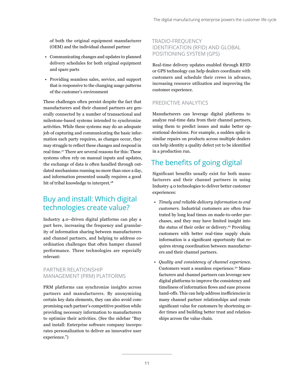of both the original equipment manufacturer (OEM) and the individual channel partner

- Communicating changes and updates to planned delivery schedules for both original equipment and spare parts
- Providing seamless sales, service, and support that is responsive to the changing usage patterns of the customer's environment

These challenges often persist despite the fact that manufacturers and their channel partners are generally connected by a number of transactional and milestone-based systems intended to synchronize activities. While these systems may do an adequate job of capturing and communicating the basic information each party requires, as changes occur, they may struggle to reflect these changes and respond in real time.<sup>27</sup> There are several reasons for this: These systems often rely on manual inputs and updates, the exchange of data is often handled through outdated mechanisms running no more than once a day, and information presented usually requires a good bit of tribal knowledge to interpret.<sup>28</sup>

## Buy and install: Which digital technologies create value?

Industry 4.0–driven digital platforms can play a part here, increasing the frequency and granularity of information sharing between manufacturers and channel partners, and helping to address coordination challenges that often hamper channel performance. Three technologies are especially relevant:

#### PARTNER RELATIONSHIP MANAGEMENT (PRM) PLATFORMS

PRM platforms can synchronize insights across partners and manufacturers. By anonymizing certain key data elements, they can also avoid compromising each partner's competitive position while providing necessary information to manufacturers to optimize their activities. (See the sidebar "Buy and install: Enterprise software company incorporates personalization to deliver an innovative user experience.")

#### TRADIO-FREQUENCY IDENTIFICATION (RFID) AND GLOBAL POSITIONING SYSTEM (GPS)

Real-time delivery updates enabled through RFID or GPS technology can help dealers coordinate with customers and schedule their crews in advance, increasing resource utilization and improving the customer experience.

#### PREDICTIVE ANALYTICS

Manufacturers can leverage digital platforms to analyze real-time data from their channel partners, using them to predict issues and make better operational decisions. For example, a sudden spike in similar repairs on products across multiple dealers can help identity a quality defect yet to be identified in a production run.

## The benefits of going digital

Significant benefits usually exist for both manufacturers and their channel partners in using Industry 4.0 technologies to deliver better customer experiences:

- *Timely and reliable delivery information to end customers.* Industrial customers are often frustrated by long lead times on made-to-order purchases, and they may have limited insight into the status of their order or delivery.<sup>29</sup> Providing customers with better real-time supply chain information is a significant opportunity that requires strong coordination between manufacturers and their channel partners.
- *Quality and consistency of channel experience.*  Customers want a seamless experience.30 Manufacturers and channel partners can leverage new digital platforms to improve the consistency and timeliness of information flows and ease process hand-offs. This can help address inefficiencies in many channel partner relationships and create significant value for customers by shortening order times and building better trust and relationships across the value chain.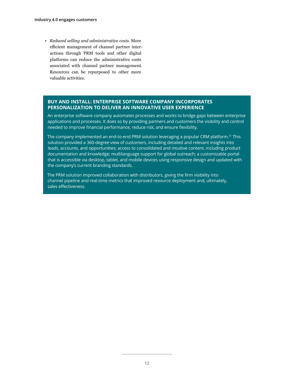• *Reduced selling and administrative costs.* More efficient management of channel partner interactions through PRM tools and other digital platforms can reduce the administrative costs associated with channel partner management. Resources can be repurposed to other more valuable activities.

#### **BUY AND INSTALL: ENTERPRISE SOFTWARE COMPANY INCORPORATES PERSONALIZATION TO DELIVER AN INNOVATIVE USER EXPERIENCE**

An enterprise software company automates processes and works to bridge gaps between enterprise applications and processes. It does so by providing partners and customers the visibility and control needed to improve financial performance, reduce risk, and ensure flexibility.

The company implemented an end-to-end PRM solution leveraging a popular CRM platform.<sup>31</sup> This solution provided a 360-degree view of customers, including detailed and relevant insights into leads, accounts, and opportunities; access to consolidated and intuitive content, including product documentation and knowledge; multilanguage support for global outreach; a customizable portal that is accessible via desktop, tablet, and mobile devices using responsive design and updated with the company's current branding standards.

The PRM solution improved collaboration with distributors, giving the firm visibility into channel pipeline and real-time metrics that improved resource deployment and, ultimately, sales effectiveness.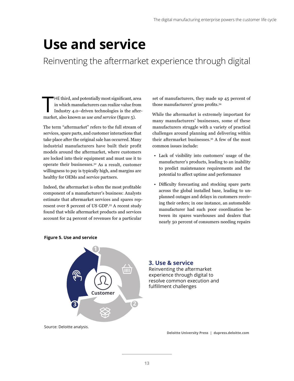## <span id="page-14-0"></span>**Use and service**

Reinventing the aftermarket experience through digital

 $\prod_{\text{mod }k}$ HE third, and potentially most significant, area in which manufacturers can realize value from Industry 4.0–driven technologies is the aftermarket, also known as *use and service* (figure 5).

The term "aftermarket" refers to the full stream of services, spare parts, and customer interactions that take place after the original sale has occurred. Many industrial manufacturers have built their profit models around the aftermarket, where customers are locked into their equipment and must use it to operate their businesses.<sup>32</sup> As a result, customer willingness to pay is typically high, and margins are healthy for OEMs and service partners.

Indeed, the aftermarket is often the most profitable component of a manufacturer's business: Analysts estimate that aftermarket services and spares represent over 8 percent of US GDP.<sup>33</sup> A recent study found that while aftermarket products and services account for 24 percent of revenues for a particular

set of manufacturers, they made up 45 percent of those manufacturers' gross profits.34

While the aftermarket is extremely important for many manufacturers' businesses, some of these manufacturers struggle with a variety of practical challenges around planning and delivering within their aftermarket businesses.<sup>35</sup> A few of the most common issues include:

- Lack of visibility into customers' usage of the manufacturer's products, leading to an inability to predict maintenance requirements and the potential to affect uptime and performance
- Difficulty forecasting and stocking spare parts across the global installed base, leading to unplanned outages and delays in customers receiving their orders; in one instance, an automobile manufacturer had such poor coordination between its spares warehouses and dealers that nearly 50 percent of consumers needing repairs



#### **Figure 5. Use and service**

#### **3. Use & service**

Reinventing the aftermarket experience through digital to resolve common execution and fulfillment challenges

Source: Deloitte analysis.

**Deloitte University Press | dupress.deloitte.com**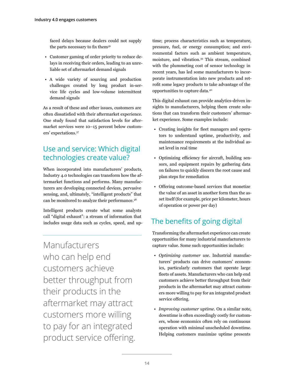faced delays because dealers could not supply the parts necessary to fix them<sup>36</sup>

- Customer gaming of order priority to reduce delays in receiving their orders, leading to an unreliable set of aftermarket demand signals
- A wide variety of sourcing and production challenges created by long product in-service life cycles and low-volume intermittent demand signals

As a result of these and other issues, customers are often dissatisfied with their aftermarket experience. One study found that satisfaction levels for aftermarket services were 10–15 percent below customers' expectations.<sup>37</sup>

## Use and service: Which digital technologies create value?

When incorporated into manufacturers' products, Industry 4.0 technologies can transform how the aftermarket functions and performs. Many manufacturers are developing connected devices, pervasive sensing, and, ultimately, "intelligent products" that can be monitored to analyze their performance.<sup>38</sup>

Intelligent products create what some analysts call "digital exhaust": a stream of information that includes usage data such as cycles, speed, and up-

Manufacturers who can help end customers achieve better throughput from their products in the aftermarket may attract customers more willing to pay for an integrated product service offering.

time; process characteristics such as temperature, pressure, fuel, or energy consumption; and environmental factors such as ambient temperature, moisture, and vibration.<sup>39</sup> This stream, combined with the plummeting cost of sensor technology in recent years, has led some manufacturers to incorporate instrumentation into new products and retrofit some legacy products to take advantage of the opportunities to capture data.40

This digital exhaust can provide analytics-driven insights to manufacturers, helping them create solutions that can transform their customers' aftermarket experience. Some examples include:

- Creating insights for fleet managers and operators to understand uptime, productivity, and maintenance requirements at the individual asset level in real time
- Optimizing efficiency for aircraft, building sensors, and equipment repairs by gathering data on failures to quickly discern the root cause and plan steps for remediation
- Offering outcome-based services that monetize the value of an asset in another form than the asset itself (for example, price per kilometer, hours of operation or power per day)

## The benefits of going digital

Transforming the aftermarket experience can create opportunities for many industrial manufacturers to capture value. Some such opportunities include:

- *Optimizing customer use.* Industrial manufacturers' products can drive customers' economics, particularly customers that operate large fleets of assets. Manufacturers who can help end customers achieve better throughput from their products in the aftermarket may attract customers more willing to pay for an integrated product service offering.
- *Improving customer uptime.* On a similar note, downtime is often exceedingly costly for customers, whose economics often rely on continuous operation with minimal unscheduled downtime. Helping customers maximize uptime presents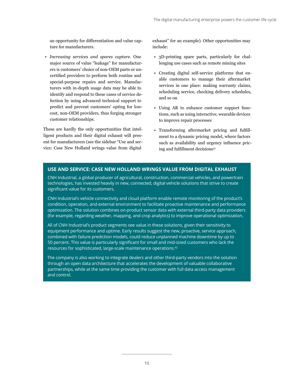an opportunity for differentiation and value capture for manufacturers.

• *Increasing services and spares capture.* One major source of value "leakage" for manufacturers is customers' choice of non-OEM parts or uncertified providers to perform both routine and special-purpose repairs and service. Manufacturers with in-depth usage data may be able to identify and respond to these cases of service defection by using advanced technical support to predict and prevent customers' opting for lowcost, non-OEM providers, thus forging stronger customer relationships.

These are hardly the only opportunities that intelligent products and their digital exhaust will present for manufacturers (see the sidebar "Use and service: Case New Holland wrings value from digital

exhaust" for an example). Other opportunities may include:

- 3D-printing spare parts, particularly for challenging use cases such as remote mining sites
- Creating digital self-service platforms that enable customers to manage their aftermarket services in one place: making warranty claims, scheduling service, checking delivery schedules, and so on
- Using AR to enhance customer support functions, such as using interactive, wearable devices to improve repair processes
- Transforming aftermarket pricing and fulfillment to a dynamic pricing model, where factors such as availability and urgency influence pricing and fulfillment decisions<sup>41</sup>

#### **USE AND SERVICE: CASE NEW HOLLAND WRINGS VALUE FROM DIGITAL EXHAUST**

CNH Industrial, a global producer of agricultural, construction, commercial vehicles, and powertrain technologies, has invested heavily in new, connected, digital vehicle solutions that strive to create significant value for its customers.

CNH Industrial's vehicle connectivity and cloud platform enable remote monitoring of the product's condition, operation, and external environment to facilitate proactive maintenance and performance optimization. The solution combines on-product sensor data with external third-party data providers (for example, regarding weather, mapping, and crop analytics) to improve operational optimization.

All of CNH Industrial's product segments see value in these solutions, given their sensitivity to equipment performance and uptime. Early results suggest the new, proactive, service approach, combined with failure prediction models, could reduce unplanned machine downtime by up to 50 percent. This value is particularly significant for small and mid-sized customers who lack the resources for sophisticated, large-scale maintenance operations.42

The company is also working to integrate dealers and other third-party vendors into the solution through an open data architecture that accelerates the development of valuable collaborative partnerships, while at the same time providing the customer with full data access management and control.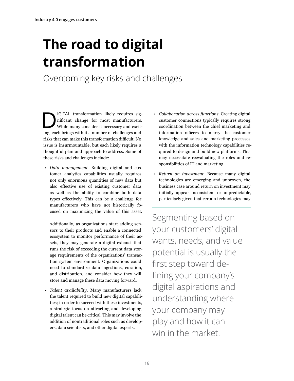# <span id="page-17-0"></span>**The road to digital transformation**

Overcoming key risks and challenges

IGITAL transformation likely requires significant change for most manufacturers.<br>While many consider it necessary and excit-<br>ing sook brings with it a number of challenges and nificant change for most manufacturers. ing, each brings with it a number of challenges and risks that can make this transformation difficult. No issue is insurmountable, but each likely requires a thoughtful plan and approach to address. Some of these risks and challenges include:

• *Data management.* Building digital and customer analytics capabilities usually requires not only enormous quantities of new data but also effective use of existing customer data as well as the ability to combine both data types effectively. This can be a challenge for manufacturers who have not historically focused on maximizing the value of this asset.

Additionally, as organizations start adding sensors to their products and enable a connected ecosystem to monitor performance of their assets, they may generate a digital exhaust that runs the risk of exceeding the current data storage requirements of the organizations' transaction system environment. Organizations could need to standardize data ingestions, curation, and distribution, and consider how they will store and manage these data moving forward.

• *Talent availability.* Many manufacturers lack the talent required to build new digital capabilities; in order to succeed with these investments, a strategic focus on attracting and developing digital talent can be critical. This may involve the addition of nontraditional roles such as developers, data scientists, and other digital experts.

- *Collaboration across functions.* Creating digital customer connections typically requires strong coordination between the chief marketing and information officers to marry the customer knowledge and sales and marketing processes with the information technology capabilities required to design and build new platforms. This may necessitate reevaluating the roles and responsibilities of IT and marketing.
- *Return on investment.* Because many digital technologies are emerging and unproven, the business case around return on investment may initially appear inconsistent or unpredictable, particularly given that certain technologies may

Segmenting based on your customers' digital wants, needs, and value potential is usually the first step toward defining your company's digital aspirations and understanding where your company may play and how it can win in the market.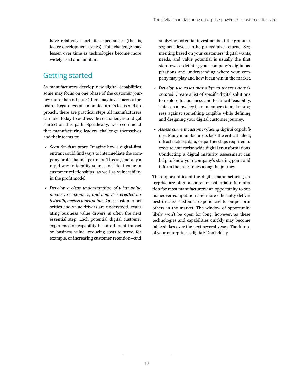have relatively short life expectancies (that is, faster development cycles). This challenge may lessen over time as technologies become more widely used and familiar.

### Getting started

As manufacturers develop new digital capabilities, some may focus on one phase of the customer journey more than others. Others may invest across the board. Regardless of a manufacturer's focus and approach, there are practical steps all manufacturers can take today to address these challenges and get started on this path. Specifically, we recommend that manufacturing leaders challenge themselves and their teams to:

- *Scan for disruptors.* Imagine how a digital-first entrant could find ways to intermediate the company or its channel partners. This is generally a rapid way to identify sources of latent value in customer relationships, as well as vulnerability in the profit model.
- *Develop a clear understanding of what value means to customers, and how it is created holistically across touchpoints.* Once customer priorities and value drivers are understood, evaluating business value drivers is often the next essential step. Each potential digital customer experience or capability has a different impact on business value—reducing costs to serve, for example, or increasing customer retention—and

analyzing potential investments at the granular segment level can help maximize returns. Segmenting based on your customers' digital wants, needs, and value potential is usually the first step toward defining your company's digital aspirations and understanding where your company may play and how it can win in the market.

- *Develop use cases that align to where value is created.* Create a list of specific digital solutions to explore for business and technical feasibility. This can allow key team members to make progress against something tangible while defining and designing your digital customer journey.
- *Assess current customer-facing digital capabilities.* Many manufacturers lack the critical talent, infrastructure, data, or partnerships required to execute enterprise-wide digital transformations. Conducting a digital maturity assessment can help to know your company's starting point and inform the milestones along the journey.

The opportunities of the digital manufacturing enterprise are often a source of potential differentiation for most manufacturers: an opportunity to outmaneuver competition and more efficiently deliver best-in-class customer experiences to outperform others in the market. The window of opportunity likely won't be open for long, however, as these technologies and capabilities quickly may become table stakes over the next several years. The future of your enterprise is digital: Don't delay.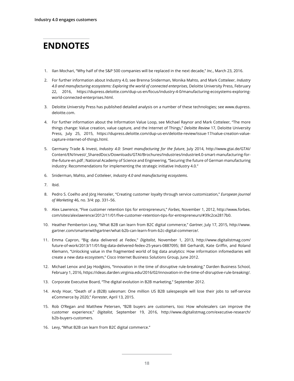## **ENDNOTES**

- 1. Ilan Mochari, "Why half of the S&P 500 companies will be replaced in the next decade," *Inc.*, March 23, 2016.
- 2. For further information about Industry 4.0, see Brenna Sniderman, Monika Mahto, and Mark Cotteleer, *Industry 4.0 and manufacturing ecosystems: Exploring the world of connected enterprises*, Deloitte University Press, February 22, 2016, https://dupress.deloitte.com/dup-us-en/focus/industry-4-0/manufacturing-ecosystems-exploringworld-connected-enterprises.html.
- 3. Deloitte University Press has published detailed analysis on a number of these technologies; see www.dupress. deloitte.com.
- 4. For further information about the Information Value Loop, see Michael Raynor and Mark Cotteleer, "The more things change: Value creation, value capture, and the Internet of Things," *Deloitte Review* 17, Deloitte University Press, July 25, 2015, https://dupress.deloitte.com/dup-us-en/deloitte-review/issue-17/value-creation-valuecapture-internet-of-things.html.
- 5. Germany Trade & Invest, *Industry 4.0: Smart manufacturing for the future*, July 2014, http://www.gtai.de/GTAI/ Content/EN/Invest/\_SharedDocs/Downloads/GTAI/Brochures/Industries/industrie4.0-smart-manufacturing-forthe-future-en.pdf ; National Academy of Science and Engineering, "Securing the future of German manufacturing industry: Recommendations for implementing the strategic initiative Industry 4.0."
- 6. Sniderman, Mahto, and Cotteleer, *Industry 4.0 and manufacturing ecosystems*.
- 7. Ibid.
- 8. Pedro S. Coelho and Jörg Henseler, "Creating customer loyalty through service customization," *European Journal of Marketing* 46, no. 3/4: pp. 331–56.
- 9. Alex Lawrence, "Five customer retention tips for entrepreneurs," *Forbes*, November 1, 2012, http://www.forbes. com/sites/alexlawrence/2012/11/01/five-customer-retention-tips-for-entrepreneurs/#39c2ce2817b0.
- 10. Heather Pemberton Levy, "What B2B can learn from B2C digital commerce," *Gartner*, July 17, 2015, http://www. gartner.com/smarterwithgartner/what-b2b-can-learn-from-b2c-digital-commerce/.
- 11. Emma Capron, "Big data delivered at Fedex," *Digitalist*, November 1, 2013, http://www.digitalistmag.com/ future-of-work/2013/11/01/big-data-delivered-fedex-25-years-0887095; Bill Gerhardt, Kate Griffin, and Roland Klemann, "Unlocking value in the fragmented world of big data analytics: How information infomediaries will create a new data ecosystem," Cisco Internet Business Solutions Group, June 2012.
- 12. Michael Lenox and Jay Hodgkins, "Innovation in the time of disruptive rule-breaking," Darden Business School, February 1, 2016, https://ideas.darden.virginia.edu/2016/02/innovation-in-the-time-of-disruptive-rule-breaking/.
- 13. Corporate Executive Board, "The digital evolution in B2B marketing," September 2012.
- 14. Andy Hoar, "Death of a (B2B) salesman: One million US B2B salespeople will lose their jobs to self-service eCommerce by 2020," *Forrester*, April 13, 2015.
- 15. Rob O'Regan and Matthew Petersen, "B2B buyers are customers, too: How wholesalers can improve the customer experience," *Digitalist*, September 19, 2016, http://www.digitalistmag.com/executive-research/ b2b-buyers-customers.
- 16. Levy, "What B2B can learn from B2C digital commerce."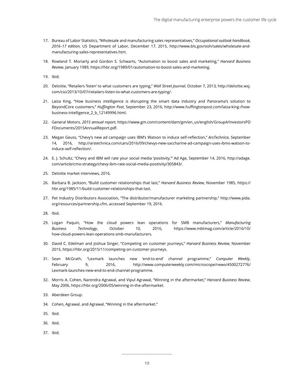- 17. Bureau of Labor Statistics, "Wholesale and manufacturing sales representatives," *Occupational outlook handbook*, *2016–17 edition*, US Department of Labor, December 17, 2015, http://www.bls.gov/ooh/sales/wholesale-andmanufacturing-sales-representatives.htm.
- 18. Rowland T. Moriarty and Gordon S. Schwarts, "Automation to boost sales and marketing," *Harvard Business Review*, January 1989, https://hbr.org/1989/01/automation-to-boost-sales-and-marketing.

19. Ibid.

- 20. Deloitte, "Retailers 'listen' to what customers are typing," *Wall Street Journal*, October 7, 2013, http://deloitte.wsj. com/cio/2013/10/07/retailers-listen-to-what-customers-are-typing/.
- 21. Laiza King, "How business intelligence is disrupting the smart data industry and Panorama's solution to BeyondCore customers," *Huffington Post*, September 23, 2016, http://www.huffingtonpost.com/laiza-king-/howbusiness-intelligence\_2\_b\_12149996.html.
- 22. General Motors, *2015 annual report*, https://www.gm.com/content/dam/gm/en\_us/english/Group4/InvestorsPD FDocuments/2015AnnualReport.pdf.
- 23. Megan Geuss, "Chevy's new ad campaign uses IBM's Watson to induce self-reflection," *ArsTechnica*, September 14, 2016, http://arstechnica.com/cars/2016/09/chevys-new-saccharine-ad-campaign-uses-ibms-watson-toinduce-self-reflection/.
- 24. E. J. Schultz, "Chevy and IBM will rate your social media 'positivity,'" Ad Age, September 14, 2016, http://adage. com/article/cmo-strategy/chevy-ibm-rate-social-media-positivity/305843/.
- 25. Deloitte market interviews, 2016.
- 26. Barbara B. Jackson, "Build customer relationships that last," *Harvard Business Review*, November 1985, https:// hbr.org/1985/11/build-customer-relationships-that-last.
- 27. Pet Industry Distributors Association, "The distributor/manufacturer marketing partnership," http://www.pida. org/resources/partnership.cfm, accessed September 19, 2016.

28. Ibid.

- 29. Logan Paquin, "How the cloud powers lean operations for SMB manufacturers," *Manufacturing Business Technology*, October 10, 2016, https://www.mbtmag.com/article/2016/10/ how-cloud-powers-lean-operations-smb-manufacturers.
- 30. David C. Edelman and Joshua Singer, "Competing on customer journeys," *Harvard Business Review*, November 2015, https://hbr.org/2015/11/competing-on-customer-journeys.
- 31. Sean McGrath, "Lexmark launches new 'end-to-end' channel programme," *Computer Weekly*, February 9, 2016, http://www.computerweekly.com/microscope/news/4500272776/ Lexmark-launches-new-end-to-end-channel-programme.
- 32. Morris A. Cohen, Narendra Agrawal, and Vipul Agrawal, "Winning in the aftermarket," *Harvard Business Review*, May 2006, https://hbr.org/2006/05/winning-in-the-aftermarket.
- 33. Aberdeen Group.
- 34. Cohen, Agrawal, and Agrawal, "Winning in the aftermarket."
- 35. Ibid.
- 36. Ibid.
- 37. Ibid.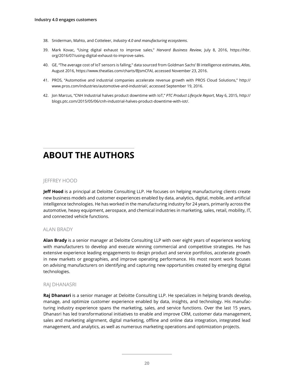- 38. Sniderman, Mahto, and Cotteleer, *Industry 4.0 and manufacturing ecosystems*.
- 39. Mark Kovac, "Using digital exhaust to improve sales," *Harvard Business Review*, July 8, 2016, https://hbr. org/2016/07/using-digital-exhaust-to-improve-sales.
- 40. GE, "The average cost of IoT sensors is falling," data sourced from Goldman Sachs' BI intelligence estimates, *Atlas*, August 2016, https://www.theatlas.com/charts/BJsmCFAl, accessed November 23, 2016.
- 41. PROS, "Automotive and industrial companies accelerate revenue growth with PROS Cloud Solutions," http:// www.pros.com/industries/automotive-and-industrial/, accessed September 19, 2016.
- 42. Jon Marcus, "CNH Industrial halves product downtime with IoT," *PTC Product Lifecycle Report*, May 6, 2015, http:// blogs.ptc.com/2015/05/06/cnh-industrial-halves-product-downtime-with-iot/.

## **ABOUT THE AUTHORS**

#### JEFFREY HOOD

**Jeff Hood** is a principal at Deloitte Consulting LLP. He focuses on helping manufacturing clients create new business models and customer experiences enabled by data, analytics, digital, mobile, and artificial intelligence technologies. He has worked in the manufacturing industry for 24 years, primarily across the automotive, heavy equipment, aerospace, and chemical industries in marketing, sales, retail, mobility, IT, and connected vehicle functions.

#### ALAN BRADY

**Alan Brady** is a senior manager at Deloitte Consulting LLP with over eight years of experience working with manufacturers to develop and execute winning commercial and competitive strategies. He has extensive experience leading engagements to design product and service portfolios, accelerate growth in new markets or geographies, and improve operating performance. His most recent work focuses on advising manufacturers on identifying and capturing new opportunities created by emerging digital technologies.

#### RAJ DHANASRI

**Raj Dhanasri** is a senior manager at Deloitte Consulting LLP. He specializes in helping brands develop, manage, and optimize customer experience enabled by data, insights, and technology. His manufacturing industry experience spans the marketing, sales, and service functions. Over the last 15 years, Dhanasri has led transformational initiatives to enable and improve CRM, customer data management, sales and marketing alignment, digital marketing, offline and online data integration, integrated lead management, and analytics, as well as numerous marketing operations and optimization projects.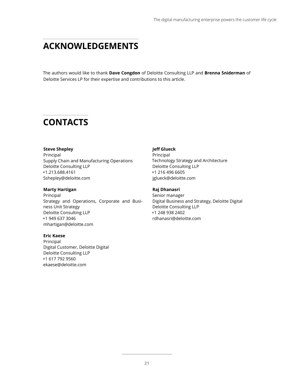## **ACKNOWLEDGEMENTS**

The authors would like to thank **Dave Congdon** of Deloitte Consulting LLP and **Brenna Sniderman** of Deloitte Services LP for their expertise and contributions to this article.

## **CONTACTS**

#### **Steve Shepley**

Principal Supply Chain and Manufacturing Operations Deloitte Consulting LLP +1.213.688.4161 Sshepley@deloitte.com

#### **Marty Hartigan**

Principal Strategy and Operations, Corporate and Business Unit Strategy Deloitte Consulting LLP +1 949 637 3046 mhartigan@deloitte.com

#### **Eric Kaese**

Principal Digital Customer, Deloitte Digital Deloitte Consulting LLP +1 617 792 9560 ekaese@deloitte.com

#### **Jeff Glueck**

Principal Technology Strategy and Architecture Deloitte Consulting LLP +1 216 496 6605 jglueck@deloitte.com

#### **Raj Dhanasri**

Senior manager Digital Business and Strategy, Deloitte Digital Deloitte Consulting LLP +1 248 938 2402 rdhanasri@deloitte.com